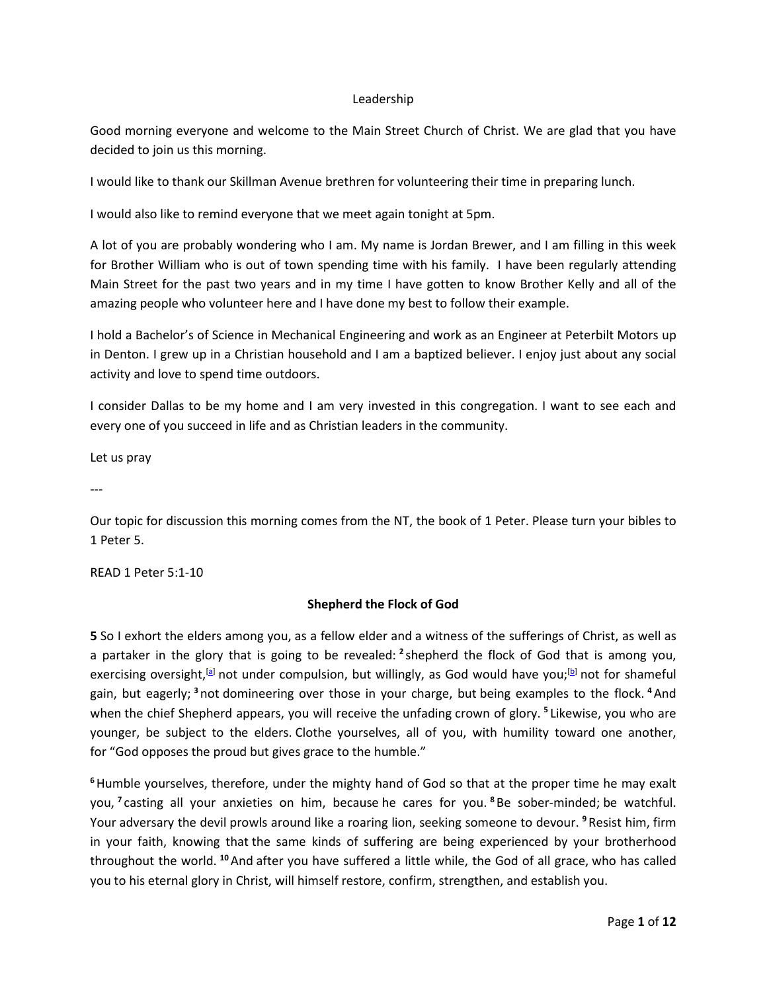#### Leadership

Good morning everyone and welcome to the Main Street Church of Christ. We are glad that you have decided to join us this morning.

I would like to thank our Skillman Avenue brethren for volunteering their time in preparing lunch.

I would also like to remind everyone that we meet again tonight at 5pm.

A lot of you are probably wondering who I am. My name is Jordan Brewer, and I am filling in this week for Brother William who is out of town spending time with his family. I have been regularly attending Main Street for the past two years and in my time I have gotten to know Brother Kelly and all of the amazing people who volunteer here and I have done my best to follow their example.

I hold a Bachelor's of Science in Mechanical Engineering and work as an Engineer at Peterbilt Motors up in Denton. I grew up in a Christian household and I am a baptized believer. I enjoy just about any social activity and love to spend time outdoors.

I consider Dallas to be my home and I am very invested in this congregation. I want to see each and every one of you succeed in life and as Christian leaders in the community.

Let us pray

---

Our topic for discussion this morning comes from the NT, the book of 1 Peter. Please turn your bibles to 1 Peter 5.

READ 1 Peter 5:1-10

# **Shepherd the Flock of God**

**5** So I exhort the elders among you, as a fellow elder and a witness of the sufferings of Christ, as well as a partaker in the glory that is going to be revealed: **<sup>2</sup>**shepherd the flock of God that is among you, exercising oversight,<sup>[a]</sup> not under compulsion, but willingly, as God would have you;<sup>[b]</sup> not for shameful gain, but eagerly; **<sup>3</sup>**not domineering over those in your charge, but being examples to the flock. **<sup>4</sup>**And when the chief Shepherd appears, you will receive the unfading crown of glory. **<sup>5</sup>**Likewise, you who are younger, be subject to the elders. Clothe yourselves, all of you, with humility toward one another, for "God opposes the proud but gives grace to the humble."

**<sup>6</sup>**Humble yourselves, therefore, under the mighty hand of God so that at the proper time he may exalt you, **<sup>7</sup>**casting all your anxieties on him, because he cares for you. **<sup>8</sup>**Be sober-minded; be watchful. Your adversary the devil prowls around like a roaring lion, seeking someone to devour. **<sup>9</sup>**Resist him, firm in your faith, knowing that the same kinds of suffering are being experienced by your brotherhood throughout the world. **<sup>10</sup>**And after you have suffered a little while, the God of all grace, who has called you to his eternal glory in Christ, will himself restore, confirm, strengthen, and establish you.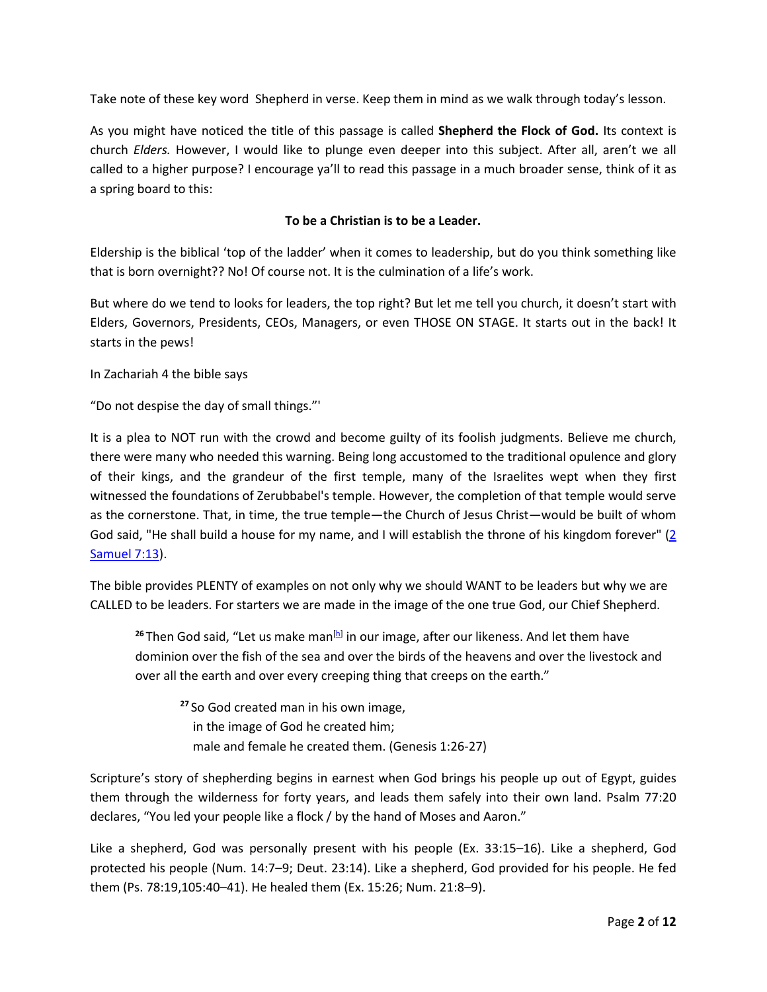Take note of these key word Shepherd in verse. Keep them in mind as we walk through today's lesson.

As you might have noticed the title of this passage is called **Shepherd the Flock of God.** Its context is church *Elders.* However, I would like to plunge even deeper into this subject. After all, aren't we all called to a higher purpose? I encourage ya'll to read this passage in a much broader sense, think of it as a spring board to this:

# **To be a Christian is to be a Leader.**

Eldership is the biblical 'top of the ladder' when it comes to leadership, but do you think something like that is born overnight?? No! Of course not. It is the culmination of a life's work.

But where do we tend to looks for leaders, the top right? But let me tell you church, it doesn't start with Elders, Governors, Presidents, CEOs, Managers, or even THOSE ON STAGE. It starts out in the back! It starts in the pews!

In Zachariah 4 the bible says

"Do not despise the day of small things."'

It is a plea to NOT run with the crowd and become guilty of its foolish judgments. Believe me church, there were many who needed this warning. Being long accustomed to the traditional opulence and glory of their kings, and the grandeur of the first temple, many of the Israelites wept when they first witnessed the foundations of Zerubbabel's temple. However, the completion of that temple would serve as the cornerstone. That, in time, the true temple—the Church of Jesus Christ—would be built of whom God said, "He shall build a house for my name, and I will establish the throne of his kingdom forever" (2 Samuel 7:13).

The bible provides PLENTY of examples on not only why we should WANT to be leaders but why we are CALLED to be leaders. For starters we are made in the image of the one true God, our Chief Shepherd.

<sup>26</sup>Then God said, "Let us make man<sup>[h]</sup> in our image, after our likeness. And let them have dominion over the fish of the sea and over the birds of the heavens and over the livestock and over all the earth and over every creeping thing that creeps on the earth."

**<sup>27</sup>**So God created man in his own image, in the image of God he created him; male and female he created them. (Genesis 1:26-27)

Scripture's story of shepherding begins in earnest when God brings his people up out of Egypt, guides them through the wilderness for forty years, and leads them safely into their own land. Psalm 77:20 declares, "You led your people like a flock / by the hand of Moses and Aaron."

Like a shepherd, God was personally present with his people (Ex. 33:15–16). Like a shepherd, God protected his people (Num. 14:7–9; Deut. 23:14). Like a shepherd, God provided for his people. He fed them (Ps. 78:19,105:40–41). He healed them (Ex. 15:26; Num. 21:8–9).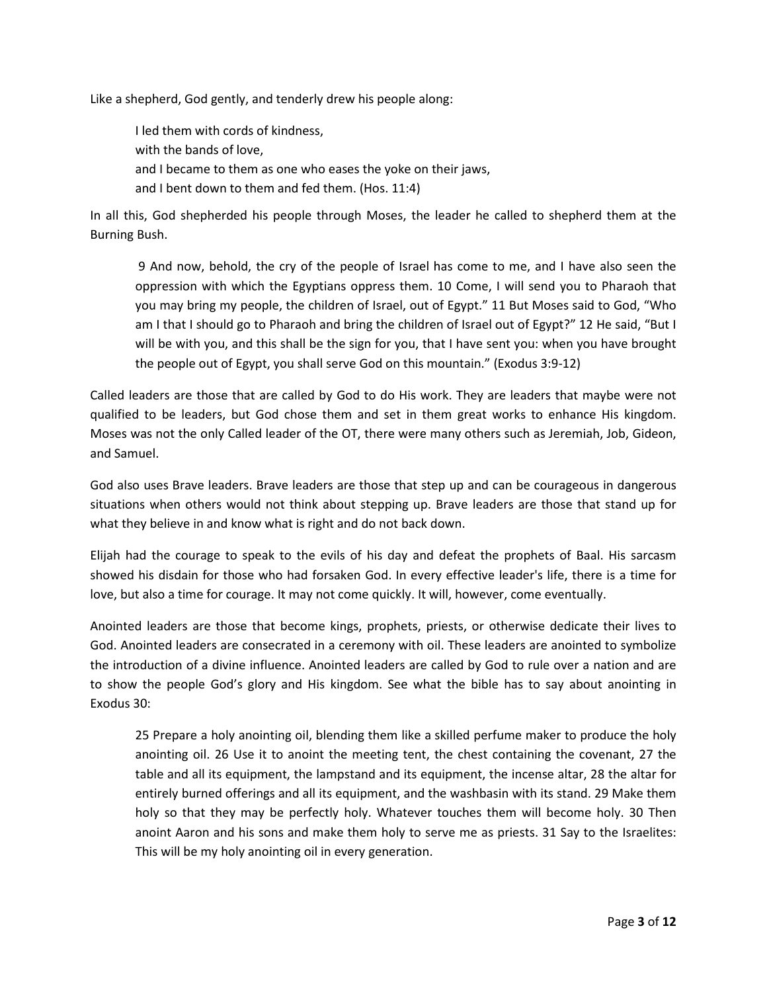Like a shepherd, God gently, and tenderly drew his people along:

I led them with cords of kindness, with the bands of love, and I became to them as one who eases the yoke on their jaws, and I bent down to them and fed them. (Hos. 11:4)

In all this, God shepherded his people through Moses, the leader he called to shepherd them at the Burning Bush.

 9 And now, behold, the cry of the people of Israel has come to me, and I have also seen the oppression with which the Egyptians oppress them. 10 Come, I will send you to Pharaoh that you may bring my people, the children of Israel, out of Egypt." 11 But Moses said to God, "Who am I that I should go to Pharaoh and bring the children of Israel out of Egypt?" 12 He said, "But I will be with you, and this shall be the sign for you, that I have sent you: when you have brought the people out of Egypt, you shall serve God on this mountain." (Exodus 3:9-12)

Called leaders are those that are called by God to do His work. They are leaders that maybe were not qualified to be leaders, but God chose them and set in them great works to enhance His kingdom. Moses was not the only Called leader of the OT, there were many others such as Jeremiah, Job, Gideon, and Samuel.

God also uses Brave leaders. Brave leaders are those that step up and can be courageous in dangerous situations when others would not think about stepping up. Brave leaders are those that stand up for what they believe in and know what is right and do not back down.

Elijah had the courage to speak to the evils of his day and defeat the prophets of Baal. His sarcasm showed his disdain for those who had forsaken God. In every effective leader's life, there is a time for love, but also a time for courage. It may not come quickly. It will, however, come eventually.

Anointed leaders are those that become kings, prophets, priests, or otherwise dedicate their lives to God. Anointed leaders are consecrated in a ceremony with oil. These leaders are anointed to symbolize the introduction of a divine influence. Anointed leaders are called by God to rule over a nation and are to show the people God's glory and His kingdom. See what the bible has to say about anointing in Exodus 30:

25 Prepare a holy anointing oil, blending them like a skilled perfume maker to produce the holy anointing oil. 26 Use it to anoint the meeting tent, the chest containing the covenant, 27 the table and all its equipment, the lampstand and its equipment, the incense altar, 28 the altar for entirely burned offerings and all its equipment, and the washbasin with its stand. 29 Make them holy so that they may be perfectly holy. Whatever touches them will become holy. 30 Then anoint Aaron and his sons and make them holy to serve me as priests. 31 Say to the Israelites: This will be my holy anointing oil in every generation.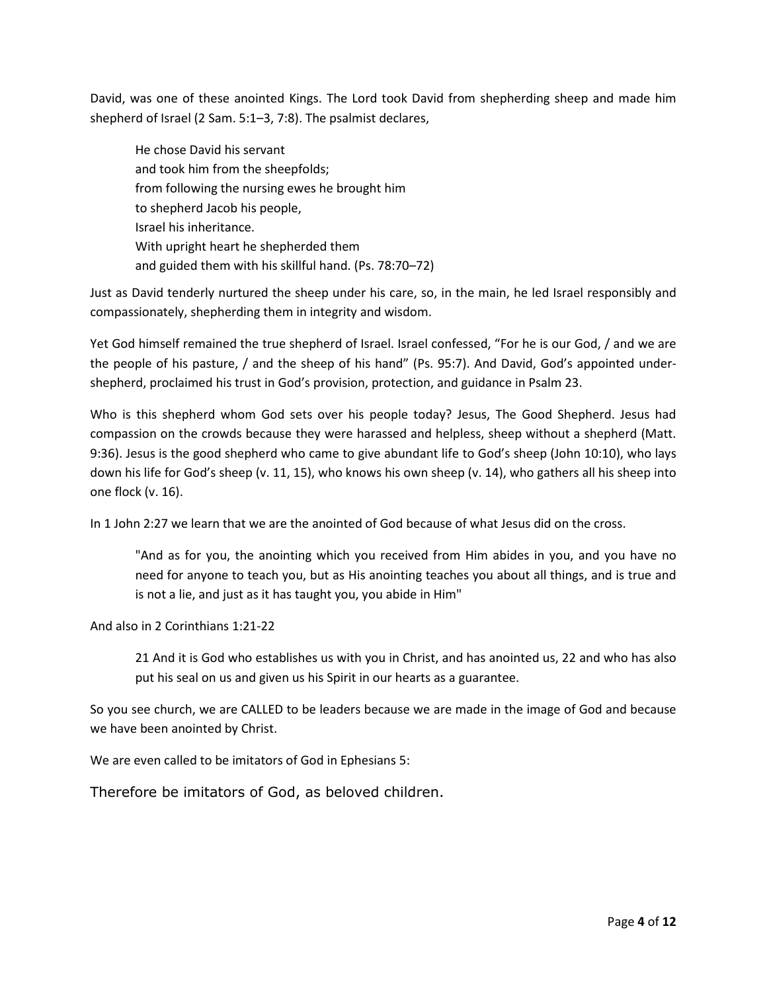David, was one of these anointed Kings. The Lord took David from shepherding sheep and made him shepherd of Israel (2 Sam. 5:1–3, 7:8). The psalmist declares,

He chose David his servant and took him from the sheepfolds; from following the nursing ewes he brought him to shepherd Jacob his people, Israel his inheritance. With upright heart he shepherded them and guided them with his skillful hand. (Ps. 78:70–72)

Just as David tenderly nurtured the sheep under his care, so, in the main, he led Israel responsibly and compassionately, shepherding them in integrity and wisdom.

Yet God himself remained the true shepherd of Israel. Israel confessed, "For he is our God, / and we are the people of his pasture, / and the sheep of his hand" (Ps. 95:7). And David, God's appointed undershepherd, proclaimed his trust in God's provision, protection, and guidance in Psalm 23.

Who is this shepherd whom God sets over his people today? Jesus, The Good Shepherd. Jesus had compassion on the crowds because they were harassed and helpless, sheep without a shepherd (Matt. 9:36). Jesus is the good shepherd who came to give abundant life to God's sheep (John 10:10), who lays down his life for God's sheep (v. 11, 15), who knows his own sheep (v. 14), who gathers all his sheep into one flock (v. 16).

In 1 John 2:27 we learn that we are the anointed of God because of what Jesus did on the cross.

"And as for you, the anointing which you received from Him abides in you, and you have no need for anyone to teach you, but as His anointing teaches you about all things, and is true and is not a lie, and just as it has taught you, you abide in Him"

And also in 2 Corinthians 1:21-22

21 And it is God who establishes us with you in Christ, and has anointed us, 22 and who has also put his seal on us and given us his Spirit in our hearts as a guarantee.

So you see church, we are CALLED to be leaders because we are made in the image of God and because we have been anointed by Christ.

We are even called to be imitators of God in Ephesians 5:

Therefore be imitators of God, as beloved children.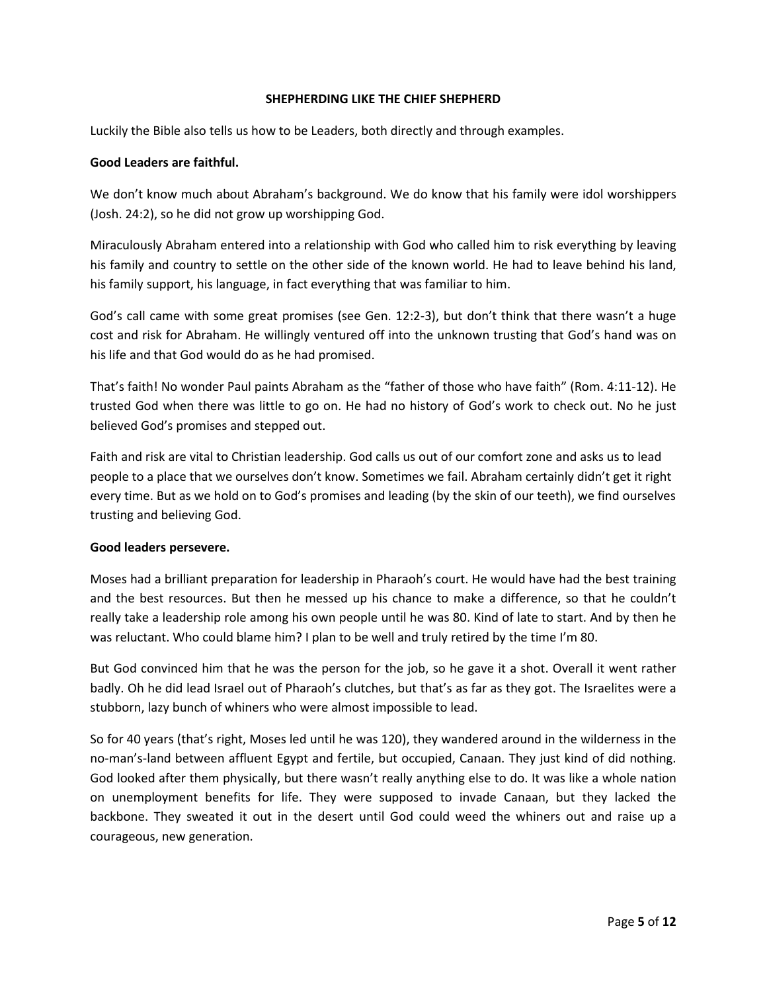#### **SHEPHERDING LIKE THE CHIEF SHEPHERD**

Luckily the Bible also tells us how to be Leaders, both directly and through examples.

#### **Good Leaders are faithful.**

We don't know much about Abraham's background. We do know that his family were idol worshippers (Josh. 24:2), so he did not grow up worshipping God.

Miraculously Abraham entered into a relationship with God who called him to risk everything by leaving his family and country to settle on the other side of the known world. He had to leave behind his land, his family support, his language, in fact everything that was familiar to him.

God's call came with some great promises (see Gen. 12:2-3), but don't think that there wasn't a huge cost and risk for Abraham. He willingly ventured off into the unknown trusting that God's hand was on his life and that God would do as he had promised.

That's faith! No wonder Paul paints Abraham as the "father of those who have faith" (Rom. 4:11-12). He trusted God when there was little to go on. He had no history of God's work to check out. No he just believed God's promises and stepped out.

Faith and risk are vital to Christian leadership. God calls us out of our comfort zone and asks us to lead people to a place that we ourselves don't know. Sometimes we fail. Abraham certainly didn't get it right every time. But as we hold on to God's promises and leading (by the skin of our teeth), we find ourselves trusting and believing God.

#### **Good leaders persevere.**

Moses had a brilliant preparation for leadership in Pharaoh's court. He would have had the best training and the best resources. But then he messed up his chance to make a difference, so that he couldn't really take a leadership role among his own people until he was 80. Kind of late to start. And by then he was reluctant. Who could blame him? I plan to be well and truly retired by the time I'm 80.

But God convinced him that he was the person for the job, so he gave it a shot. Overall it went rather badly. Oh he did lead Israel out of Pharaoh's clutches, but that's as far as they got. The Israelites were a stubborn, lazy bunch of whiners who were almost impossible to lead.

So for 40 years (that's right, Moses led until he was 120), they wandered around in the wilderness in the no-man's-land between affluent Egypt and fertile, but occupied, Canaan. They just kind of did nothing. God looked after them physically, but there wasn't really anything else to do. It was like a whole nation on unemployment benefits for life. They were supposed to invade Canaan, but they lacked the backbone. They sweated it out in the desert until God could weed the whiners out and raise up a courageous, new generation.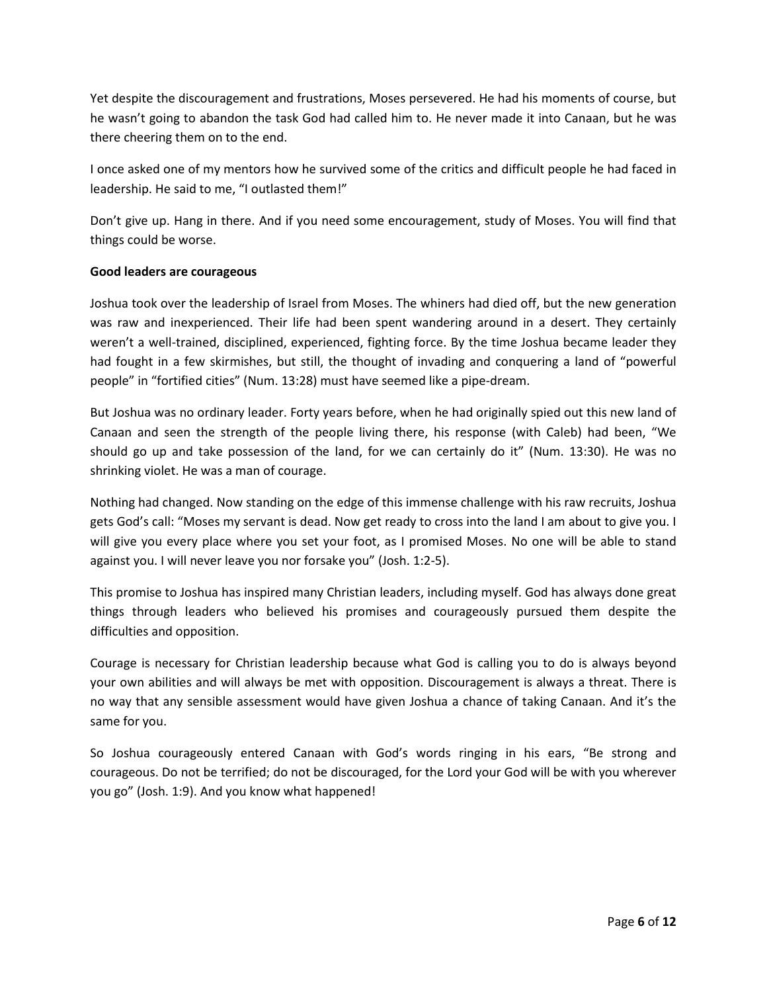Yet despite the discouragement and frustrations, Moses persevered. He had his moments of course, but he wasn't going to abandon the task God had called him to. He never made it into Canaan, but he was there cheering them on to the end.

I once asked one of my mentors how he survived some of the critics and difficult people he had faced in leadership. He said to me, "I outlasted them!"

Don't give up. Hang in there. And if you need some encouragement, study of Moses. You will find that things could be worse.

# **Good leaders are courageous**

Joshua took over the leadership of Israel from Moses. The whiners had died off, but the new generation was raw and inexperienced. Their life had been spent wandering around in a desert. They certainly weren't a well-trained, disciplined, experienced, fighting force. By the time Joshua became leader they had fought in a few skirmishes, but still, the thought of invading and conquering a land of "powerful people" in "fortified cities" (Num. 13:28) must have seemed like a pipe-dream.

But Joshua was no ordinary leader. Forty years before, when he had originally spied out this new land of Canaan and seen the strength of the people living there, his response (with Caleb) had been, "We should go up and take possession of the land, for we can certainly do it" (Num. 13:30). He was no shrinking violet. He was a man of courage.

Nothing had changed. Now standing on the edge of this immense challenge with his raw recruits, Joshua gets God's call: "Moses my servant is dead. Now get ready to cross into the land I am about to give you. I will give you every place where you set your foot, as I promised Moses. No one will be able to stand against you. I will never leave you nor forsake you" (Josh. 1:2-5).

This promise to Joshua has inspired many Christian leaders, including myself. God has always done great things through leaders who believed his promises and courageously pursued them despite the difficulties and opposition.

Courage is necessary for Christian leadership because what God is calling you to do is always beyond your own abilities and will always be met with opposition. Discouragement is always a threat. There is no way that any sensible assessment would have given Joshua a chance of taking Canaan. And it's the same for you.

So Joshua courageously entered Canaan with God's words ringing in his ears, "Be strong and courageous. Do not be terrified; do not be discouraged, for the Lord your God will be with you wherever you go" (Josh. 1:9). And you know what happened!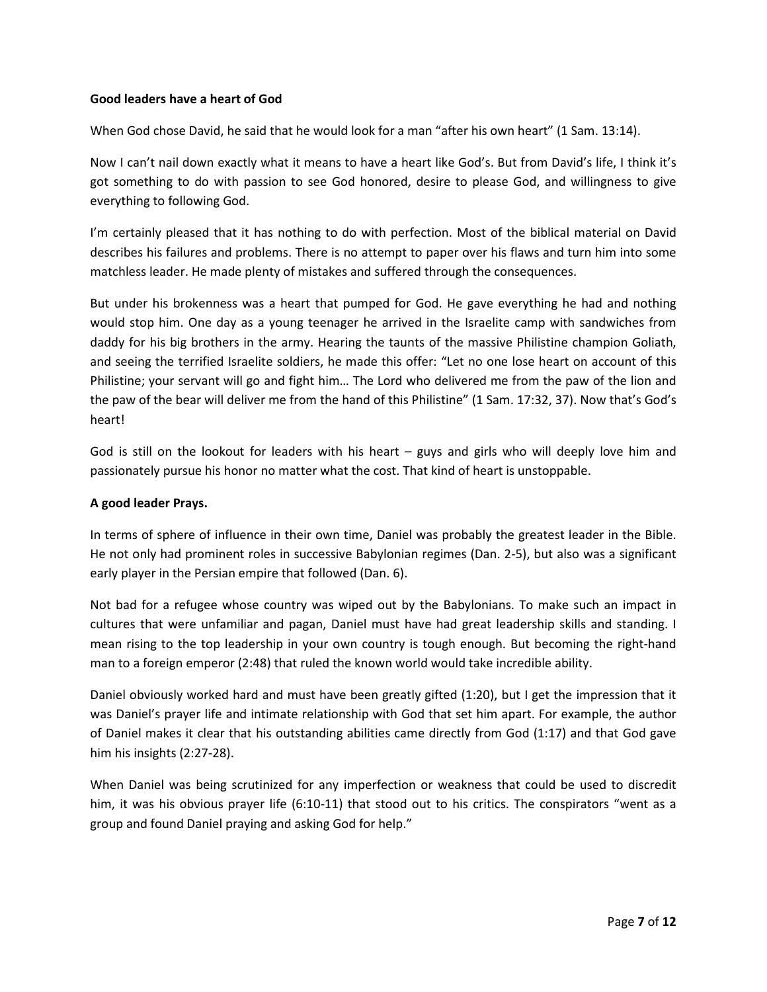# **Good leaders have a heart of God**

When God chose David, he said that he would look for a man "after his own heart" (1 Sam. 13:14).

Now I can't nail down exactly what it means to have a heart like God's. But from David's life, I think it's got something to do with passion to see God honored, desire to please God, and willingness to give everything to following God.

I'm certainly pleased that it has nothing to do with perfection. Most of the biblical material on David describes his failures and problems. There is no attempt to paper over his flaws and turn him into some matchless leader. He made plenty of mistakes and suffered through the consequences.

But under his brokenness was a heart that pumped for God. He gave everything he had and nothing would stop him. One day as a young teenager he arrived in the Israelite camp with sandwiches from daddy for his big brothers in the army. Hearing the taunts of the massive Philistine champion Goliath, and seeing the terrified Israelite soldiers, he made this offer: "Let no one lose heart on account of this Philistine; your servant will go and fight him… The Lord who delivered me from the paw of the lion and the paw of the bear will deliver me from the hand of this Philistine" (1 Sam. 17:32, 37). Now that's God's heart!

God is still on the lookout for leaders with his heart  $-$  guys and girls who will deeply love him and passionately pursue his honor no matter what the cost. That kind of heart is unstoppable.

### **A good leader Prays.**

In terms of sphere of influence in their own time, Daniel was probably the greatest leader in the Bible. He not only had prominent roles in successive Babylonian regimes (Dan. 2-5), but also was a significant early player in the Persian empire that followed (Dan. 6).

Not bad for a refugee whose country was wiped out by the Babylonians. To make such an impact in cultures that were unfamiliar and pagan, Daniel must have had great leadership skills and standing. I mean rising to the top leadership in your own country is tough enough. But becoming the right-hand man to a foreign emperor (2:48) that ruled the known world would take incredible ability.

Daniel obviously worked hard and must have been greatly gifted (1:20), but I get the impression that it was Daniel's prayer life and intimate relationship with God that set him apart. For example, the author of Daniel makes it clear that his outstanding abilities came directly from God (1:17) and that God gave him his insights (2:27-28).

When Daniel was being scrutinized for any imperfection or weakness that could be used to discredit him, it was his obvious prayer life (6:10-11) that stood out to his critics. The conspirators "went as a group and found Daniel praying and asking God for help."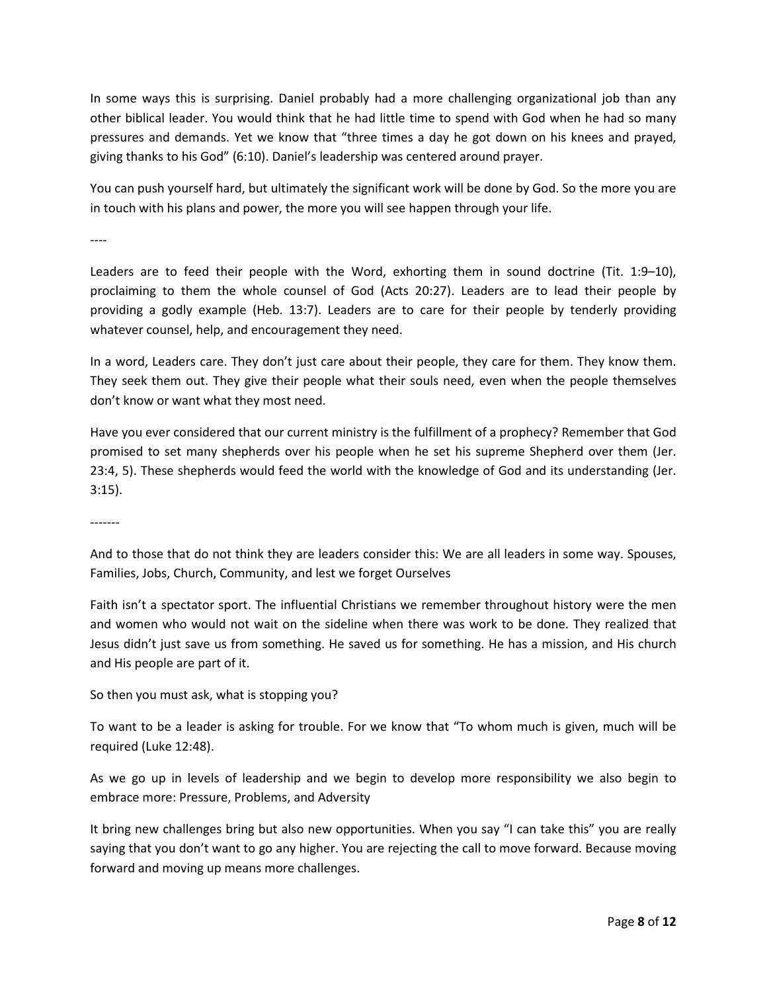In some ways this is surprising. Daniel probably had a more challenging organizational job than any other biblical leader. You would think that he had little time to spend with God when he had so many pressures and demands. Yet we know that "three times a day he got down on his knees and prayed, giving thanks to his God" (6:10). Daniel's leadership was centered around prayer.

You can push yourself hard, but ultimately the significant work will be done by God. So the more you are in touch with his plans and power, the more you will see happen through your life.

----

Leaders are to feed their people with the Word, exhorting them in sound doctrine (Tit. 1:9–10), proclaiming to them the whole counsel of God (Acts 20:27). Leaders are to lead their people by providing a godly example (Heb. 13:7). Leaders are to care for their people by tenderly providing whatever counsel, help, and encouragement they need.

In a word, Leaders care. They don't just care about their people, they care for them. They know them. They seek them out. They give their people what their souls need, even when the people themselves don't know or want what they most need.

Have you ever considered that our current ministry is the fulfillment of a prophecy? Remember that God promised to set many shepherds over his people when he set his supreme Shepherd over them (Jer. 23:4, 5). These shepherds would feed the world with the knowledge of God and its understanding (Jer. 3:15).

-------

And to those that do not think they are leaders consider this: We are all leaders in some way. Spouses, Families, Jobs, Church, Community, and lest we forget Ourselves

Faith isn't a spectator sport. The influential Christians we remember throughout history were the men and women who would not wait on the sideline when there was work to be done. They realized that Jesus didn't just save us from something. He saved us for something. He has a mission, and His church and His people are part of it.

So then you must ask, what is stopping you?

To want to be a leader is asking for trouble. For we know that "To whom much is given, much will be required (Luke 12:48).

As we go up in levels of leadership and we begin to develop more responsibility we also begin to embrace more: Pressure, Problems, and Adversity

It bring new challenges bring but also new opportunities. When you say "I can take this" you are really saying that you don't want to go any higher. You are rejecting the call to move forward. Because moving forward and moving up means more challenges.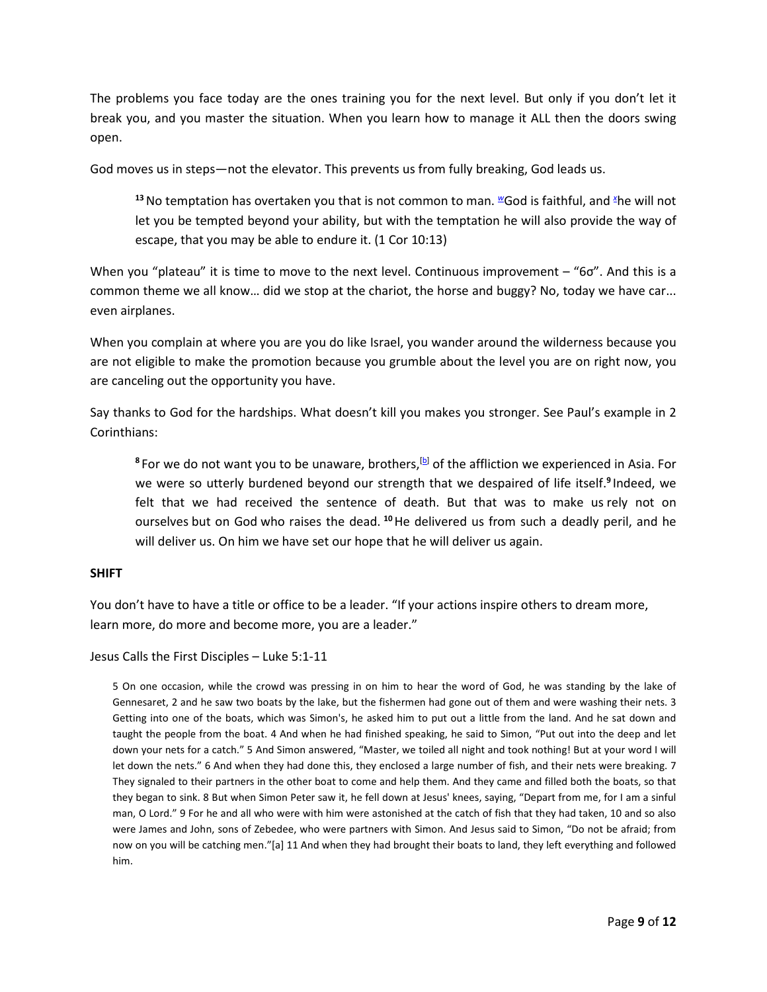The problems you face today are the ones training you for the next level. But only if you don't let it break you, and you master the situation. When you learn how to manage it ALL then the doors swing open.

God moves us in steps—not the elevator. This prevents us from fully breaking, God leads us.

**<sup>13</sup>**No temptation has overtaken you that is not common to man. *<sup>w</sup>*God is faithful, and *<sup>x</sup>*he will not let you be tempted beyond your ability, but with the temptation he will also provide the way of escape, that you may be able to endure it. (1 Cor 10:13)

When you "plateau" it is time to move to the next level. Continuous improvement – "6σ". And this is a common theme we all know… did we stop at the chariot, the horse and buggy? No, today we have car... even airplanes.

When you complain at where you are you do like Israel, you wander around the wilderness because you are not eligible to make the promotion because you grumble about the level you are on right now, you are canceling out the opportunity you have.

Say thanks to God for the hardships. What doesn't kill you makes you stronger. See Paul's example in 2 Corinthians:

8 For we do not want you to be unaware, brothers,<sup>[b]</sup> of the affliction we experienced in Asia. For we were so utterly burdened beyond our strength that we despaired of life itself.**<sup>9</sup>**Indeed, we felt that we had received the sentence of death. But that was to make us rely not on ourselves but on God who raises the dead. **<sup>10</sup>**He delivered us from such a deadly peril, and he will deliver us. On him we have set our hope that he will deliver us again.

# **SHIFT**

You don't have to have a title or office to be a leader. "If your actions inspire others to dream more, learn more, do more and become more, you are a leader."

Jesus Calls the First Disciples – Luke 5:1-11

5 On one occasion, while the crowd was pressing in on him to hear the word of God, he was standing by the lake of Gennesaret, 2 and he saw two boats by the lake, but the fishermen had gone out of them and were washing their nets. 3 Getting into one of the boats, which was Simon's, he asked him to put out a little from the land. And he sat down and taught the people from the boat. 4 And when he had finished speaking, he said to Simon, "Put out into the deep and let down your nets for a catch." 5 And Simon answered, "Master, we toiled all night and took nothing! But at your word I will let down the nets." 6 And when they had done this, they enclosed a large number of fish, and their nets were breaking. 7 They signaled to their partners in the other boat to come and help them. And they came and filled both the boats, so that they began to sink. 8 But when Simon Peter saw it, he fell down at Jesus' knees, saying, "Depart from me, for I am a sinful man, O Lord." 9 For he and all who were with him were astonished at the catch of fish that they had taken, 10 and so also were James and John, sons of Zebedee, who were partners with Simon. And Jesus said to Simon, "Do not be afraid; from now on you will be catching men."[a] 11 And when they had brought their boats to land, they left everything and followed him.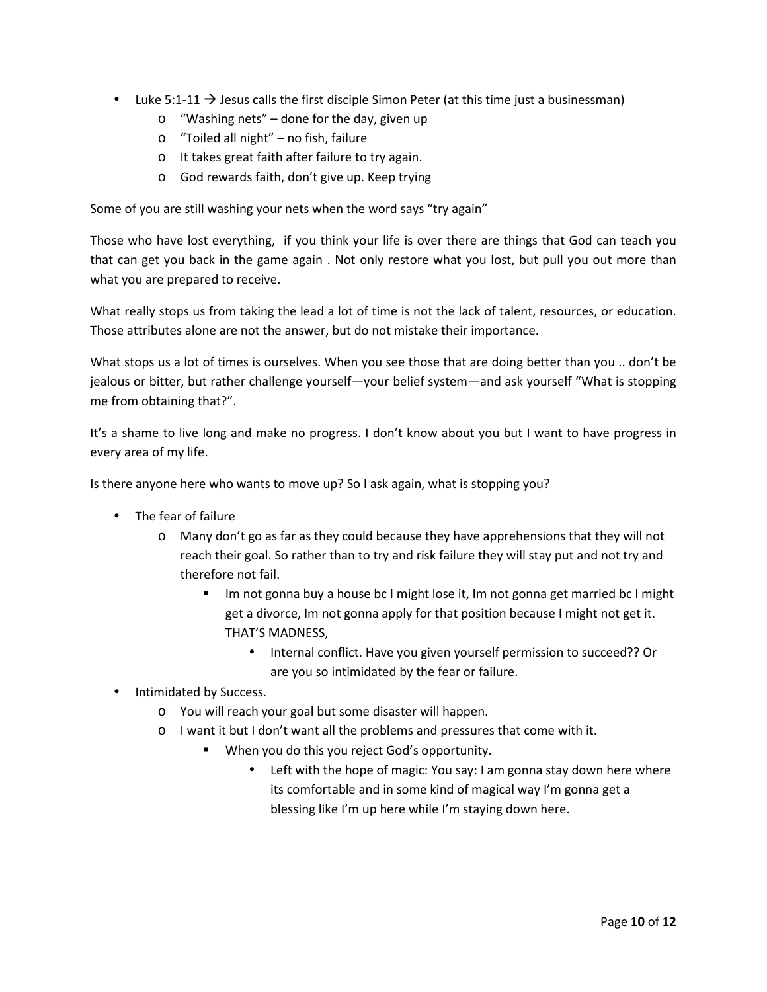- Luke 5:1-11  $\rightarrow$  Jesus calls the first disciple Simon Peter (at this time just a businessman)
	- o "Washing nets" done for the day, given up
	- o "Toiled all night" no fish, failure
	- o It takes great faith after failure to try again.
	- o God rewards faith, don't give up. Keep trying

Some of you are still washing your nets when the word says "try again"

Those who have lost everything, if you think your life is over there are things that God can teach you that can get you back in the game again . Not only restore what you lost, but pull you out more than what you are prepared to receive.

What really stops us from taking the lead a lot of time is not the lack of talent, resources, or education. Those attributes alone are not the answer, but do not mistake their importance.

What stops us a lot of times is ourselves. When you see those that are doing better than you .. don't be jealous or bitter, but rather challenge yourself—your belief system—and ask yourself "What is stopping me from obtaining that?".

It's a shame to live long and make no progress. I don't know about you but I want to have progress in every area of my life.

Is there anyone here who wants to move up? So I ask again, what is stopping you?

- The fear of failure
	- o Many don't go as far as they could because they have apprehensions that they will not reach their goal. So rather than to try and risk failure they will stay put and not try and therefore not fail.
		- Im not gonna buy a house bc I might lose it, Im not gonna get married bc I might get a divorce, Im not gonna apply for that position because I might not get it. THAT'S MADNESS,
			- Internal conflict. Have you given yourself permission to succeed?? Or are you so intimidated by the fear or failure.
- Intimidated by Success.
	- o You will reach your goal but some disaster will happen.
	- o I want it but I don't want all the problems and pressures that come with it.
		- **When you do this you reject God's opportunity.** 
			- Left with the hope of magic: You say: I am gonna stay down here where its comfortable and in some kind of magical way I'm gonna get a blessing like I'm up here while I'm staying down here.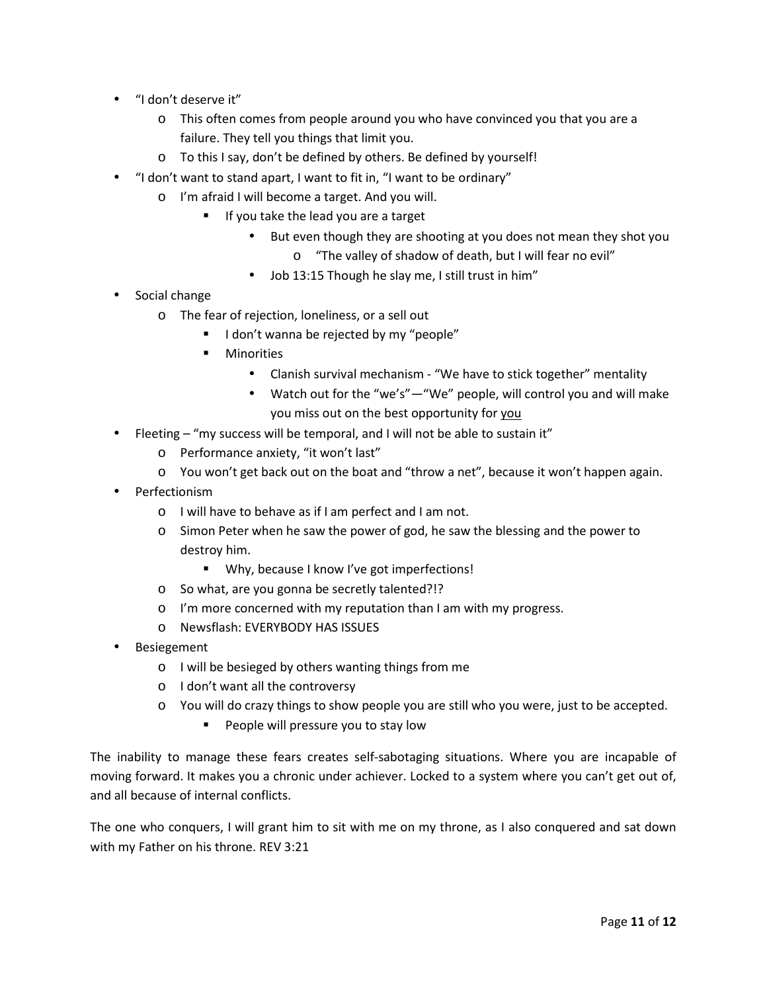- "I don't deserve it"
	- o This often comes from people around you who have convinced you that you are a failure. They tell you things that limit you.
	- o To this I say, don't be defined by others. Be defined by yourself!
- "I don't want to stand apart, I want to fit in, "I want to be ordinary"
	- o I'm afraid I will become a target. And you will.
		- If you take the lead you are a target
			- But even though they are shooting at you does not mean they shot you
				- o "The valley of shadow of death, but I will fear no evil"
			- Job 13:15 Though he slay me, I still trust in him"
- Social change
	- o The fear of rejection, loneliness, or a sell out
		- I don't wanna be rejected by my "people"
		- - Minorities
			- Clanish survival mechanism "We have to stick together" mentality
			- Watch out for the "we's"—"We" people, will control you and will make you miss out on the best opportunity for you
- Fleeting "my success will be temporal, and I will not be able to sustain it"
	- o Performance anxiety, "it won't last"
	- o You won't get back out on the boat and "throw a net", because it won't happen again.
- Perfectionism
	- o I will have to behave as if I am perfect and I am not.
	- o Simon Peter when he saw the power of god, he saw the blessing and the power to destroy him.
		- Why, because I know I've got imperfections!
	- o So what, are you gonna be secretly talented?!?
	- o I'm more concerned with my reputation than I am with my progress.
	- o Newsflash: EVERYBODY HAS ISSUES
- **Besiegement** 
	- o I will be besieged by others wanting things from me
	- o I don't want all the controversy
	- o You will do crazy things to show people you are still who you were, just to be accepted.
		- People will pressure you to stay low

The inability to manage these fears creates self-sabotaging situations. Where you are incapable of moving forward. It makes you a chronic under achiever. Locked to a system where you can't get out of, and all because of internal conflicts.

The one who conquers, I will grant him to sit with me on my throne, as I also conquered and sat down with my Father on his throne. REV 3:21